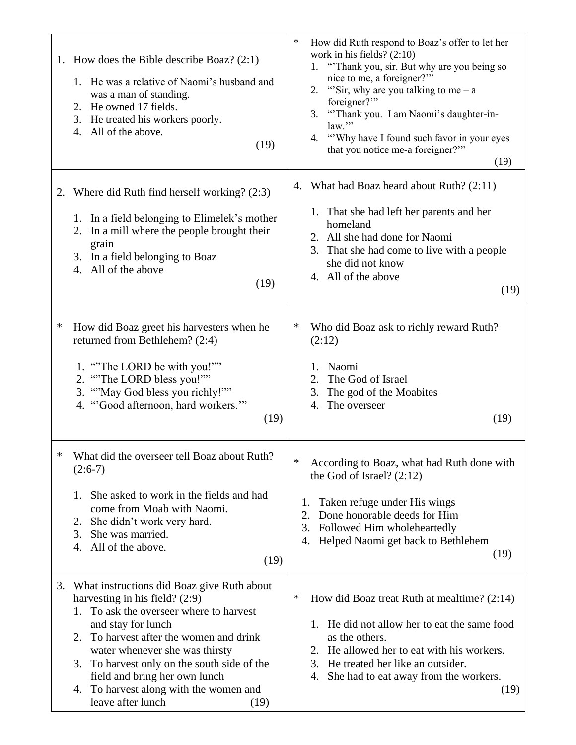|    | 1. How does the Bible describe Boaz? $(2:1)$<br>1. He was a relative of Naomi's husband and<br>was a man of standing.<br>2. He owned 17 fields.<br>3. He treated his workers poorly.<br>All of the above.<br>4.<br>(19)                                                                                                                                                                         | ∗<br>How did Ruth respond to Boaz's offer to let her<br>work in his fields? $(2:10)$<br>1. "Thank you, sir. But why are you being so<br>nice to me, a foreigner?"<br>2. "Sir, why are you talking to me – a<br>foreigner?"<br>"Thank you. I am Naomi's daughter-in-<br>3.<br>law."<br>"Why have I found such favor in your eyes<br>4.<br>that you notice me-a foreigner?"<br>(19) |
|----|-------------------------------------------------------------------------------------------------------------------------------------------------------------------------------------------------------------------------------------------------------------------------------------------------------------------------------------------------------------------------------------------------|-----------------------------------------------------------------------------------------------------------------------------------------------------------------------------------------------------------------------------------------------------------------------------------------------------------------------------------------------------------------------------------|
| 2. | Where did Ruth find herself working? (2:3)<br>1. In a field belonging to Elimelek's mother<br>2. In a mill where the people brought their<br>grain<br>In a field belonging to Boaz<br>3.<br>All of the above<br>4.<br>(19)                                                                                                                                                                      | What had Boaz heard about Ruth? (2:11)<br>4.<br>1. That she had left her parents and her<br>homeland<br>2. All she had done for Naomi<br>3. That she had come to live with a people<br>she did not know<br>4. All of the above<br>(19)                                                                                                                                            |
| ∗  | How did Boaz greet his harvesters when he<br>returned from Bethlehem? (2:4)<br>1. "The LORD be with you!""<br>2. "The LORD bless you!""<br>3. ""May God bless you richly!""<br>4. "Good afternoon, hard workers."<br>(19)                                                                                                                                                                       | ∗<br>Who did Boaz ask to richly reward Ruth?<br>(2:12)<br>Naomi<br>1.<br>The God of Israel<br>2.<br>The god of the Moabites<br>3.<br>The overseer<br>4.<br>(19)                                                                                                                                                                                                                   |
|    | What did the overseer tell Boaz about Ruth?<br>$(2:6-7)$<br>She asked to work in the fields and had<br>1.<br>come from Moab with Naomi.<br>She didn't work very hard.<br>2.<br>She was married.<br>3.<br>All of the above.<br>4.<br>(19)                                                                                                                                                        | ∗<br>According to Boaz, what had Ruth done with<br>the God of Israel? $(2:12)$<br>Taken refuge under His wings<br>1.<br>2.<br>Done honorable deeds for Him<br>3.<br>Followed Him wholeheartedly<br>Helped Naomi get back to Bethlehem<br>4.<br>(19)                                                                                                                               |
| 3. | What instructions did Boaz give Ruth about<br>harvesting in his field? $(2:9)$<br>To ask the overseer where to harvest<br>1.<br>and stay for lunch<br>To harvest after the women and drink<br>2.<br>water whenever she was thirsty<br>To harvest only on the south side of the<br>3.<br>field and bring her own lunch<br>To harvest along with the women and<br>4.<br>leave after lunch<br>(19) | How did Boaz treat Ruth at mealtime? (2:14)<br>∗<br>He did not allow her to eat the same food<br>as the others.<br>He allowed her to eat with his workers.<br>2.<br>He treated her like an outsider.<br>3.<br>4. She had to eat away from the workers.<br>(19)                                                                                                                    |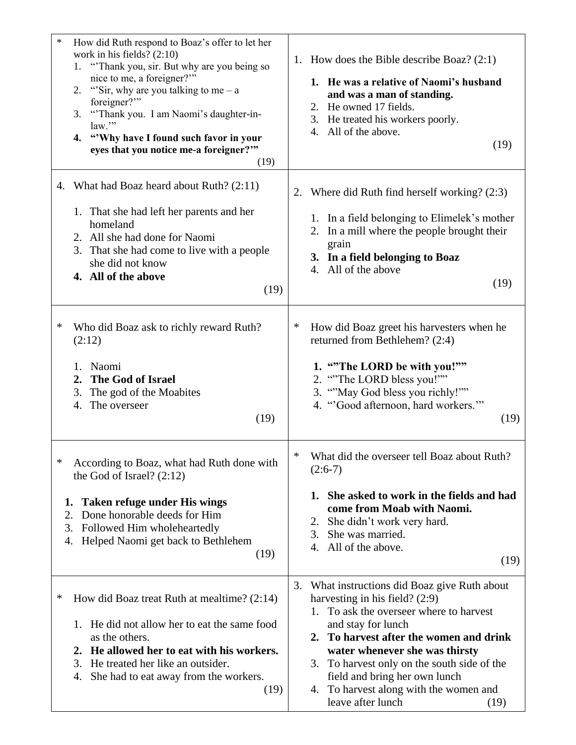| $\ast$                    | How did Ruth respond to Boaz's offer to let her<br>work in his fields? $(2:10)$<br>"Thank you, sir. But why are you being so<br>1.<br>nice to me, a foreigner?"<br>"Sir, why are you talking to me – a<br>2.<br>foreigner?"<br>3. "Thank you. I am Naomi's daughter-in-<br>law."<br>4. "Why have I found such favor in your<br>eyes that you notice me-a foreigner?""<br>(19) |         | 1. How does the Bible describe Boaz? $(2:1)$<br>1. He was a relative of Naomi's husband<br>and was a man of standing.<br>2. He owned 17 fields.<br>3. He treated his workers poorly.<br>All of the above.<br>4.<br>(19)                                                                                                                  |
|---------------------------|-------------------------------------------------------------------------------------------------------------------------------------------------------------------------------------------------------------------------------------------------------------------------------------------------------------------------------------------------------------------------------|---------|------------------------------------------------------------------------------------------------------------------------------------------------------------------------------------------------------------------------------------------------------------------------------------------------------------------------------------------|
|                           | 4. What had Boaz heard about Ruth? (2:11)<br>1. That she had left her parents and her<br>homeland<br>2. All she had done for Naomi<br>3. That she had come to live with a people<br>she did not know<br>4. All of the above<br>(19)                                                                                                                                           | 2.      | Where did Ruth find herself working? (2:3)<br>1. In a field belonging to Elimelek's mother<br>2. In a mill where the people brought their<br>grain<br>3. In a field belonging to Boaz<br>All of the above<br>4.<br>(19)                                                                                                                  |
| ∗                         | Who did Boaz ask to richly reward Ruth?<br>(2:12)<br>1. Naomi<br>The God of Israel<br>2.<br>3.<br>The god of the Moabites<br>The overseer<br>4.<br>(19)                                                                                                                                                                                                                       | ∗       | How did Boaz greet his harvesters when he<br>returned from Bethlehem? (2:4)<br>1. "The LORD be with you!""<br>2. "The LORD bless you!""<br>3. ""May God bless you richly!""<br>4. "Good afternoon, hard workers."<br>(19)                                                                                                                |
| ∗<br>1.<br>2.<br>3.<br>4. | According to Boaz, what had Ruth done with<br>the God of Israel? $(2:12)$<br><b>Taken refuge under His wings</b><br>Done honorable deeds for Him<br>Followed Him wholeheartedly<br>Helped Naomi get back to Bethlehem<br>(19)                                                                                                                                                 | ∗<br>3. | What did the overseer tell Boaz about Ruth?<br>$(2:6-7)$<br>1. She asked to work in the fields and had<br>come from Moab with Naomi.<br>She didn't work very hard.<br>2.<br>She was married.<br>3.<br>All of the above.<br>4.<br>(19)<br>What instructions did Boaz give Ruth about                                                      |
| ∗                         | How did Boaz treat Ruth at meal time? $(2:14)$<br>He did not allow her to eat the same food<br>1.<br>as the others.<br>2. He allowed her to eat with his workers.<br>He treated her like an outsider.<br>3.<br>She had to eat away from the workers.<br>4.<br>(19)                                                                                                            |         | harvesting in his field? $(2:9)$<br>To ask the overseer where to harvest<br>and stay for lunch<br>2. To harvest after the women and drink<br>water whenever she was thirsty<br>3.<br>To harvest only on the south side of the<br>field and bring her own lunch<br>To harvest along with the women and<br>4.<br>leave after lunch<br>(19) |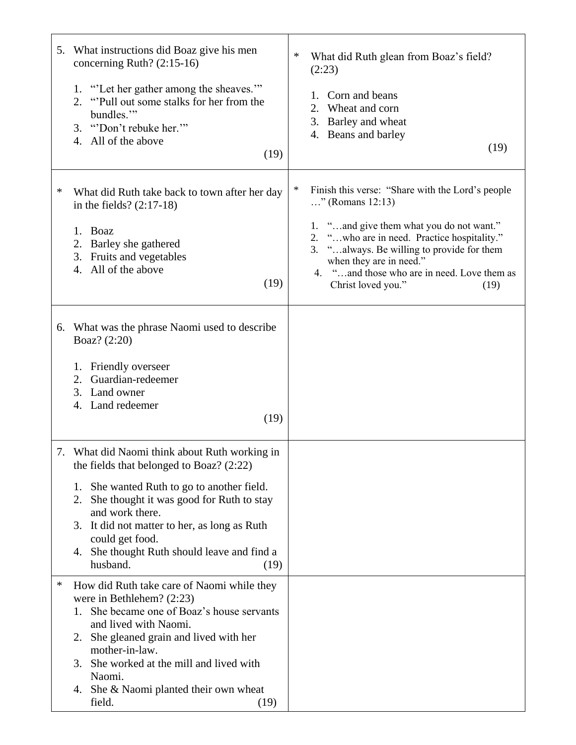|   | 5. What instructions did Boaz give his men<br>concerning Ruth? (2:15-16)<br>1. "Let her gather among the sheaves."<br>"Pull out some stalks for her from the<br>2.<br>bundles."<br>3. "Don't rebuke her."<br>All of the above<br>4.<br>(19)                                                                                                                 | ∗<br>What did Ruth glean from Boaz's field?<br>(2:23)<br>Corn and beans<br>1.<br>2. Wheat and corn<br>3. Barley and wheat<br>4. Beans and barley<br>(19)                                                                                                                                                                                 |
|---|-------------------------------------------------------------------------------------------------------------------------------------------------------------------------------------------------------------------------------------------------------------------------------------------------------------------------------------------------------------|------------------------------------------------------------------------------------------------------------------------------------------------------------------------------------------------------------------------------------------------------------------------------------------------------------------------------------------|
| ∗ | What did Ruth take back to town after her day<br>in the fields? $(2:17-18)$<br>Boaz<br>1.<br>2. Barley she gathered<br>3. Fruits and vegetables<br>All of the above<br>4.<br>(19)                                                                                                                                                                           | $\ast$<br>Finish this verse: "Share with the Lord's people<br>" (Romans $12:13$ )<br>1. "and give them what you do not want."<br>2. "who are in need. Practice hospitality."<br>"always. Be willing to provide for them<br>3.<br>when they are in need."<br>"and those who are in need. Love them as<br>4.<br>Christ loved you."<br>(19) |
|   | 6. What was the phrase Naomi used to describe<br>Boaz? (2:20)<br>Friendly overseer<br>1.<br>Guardian-redeemer<br>2.<br>3. Land owner<br>4. Land redeemer<br>(19)                                                                                                                                                                                            |                                                                                                                                                                                                                                                                                                                                          |
|   | 7. What did Naomi think about Ruth working in<br>the fields that belonged to Boaz? (2:22)<br>She wanted Ruth to go to another field.<br>1.<br>She thought it was good for Ruth to stay<br>2.<br>and work there.<br>It did not matter to her, as long as Ruth<br>3.<br>could get food.<br>She thought Ruth should leave and find a<br>4.<br>husband.<br>(19) |                                                                                                                                                                                                                                                                                                                                          |
| ∗ | How did Ruth take care of Naomi while they<br>were in Bethlehem? $(2:23)$<br>She became one of Boaz's house servants<br>1.<br>and lived with Naomi.<br>She gleaned grain and lived with her<br>2.<br>mother-in-law.<br>She worked at the mill and lived with<br>3.<br>Naomi.<br>4. She & Naomi planted their own wheat<br>field.<br>(19)                    |                                                                                                                                                                                                                                                                                                                                          |